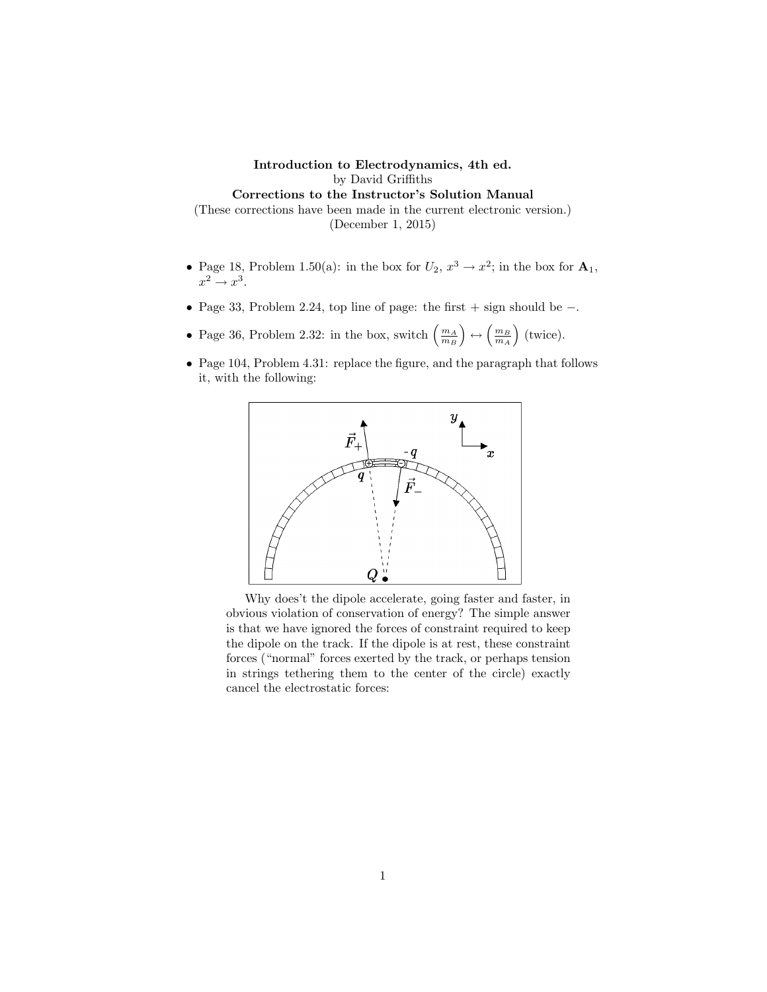## Introduction to Electrodynamics, 4th ed. by David Griffiths Corrections to the Instructor's Solution Manual (These corrections have been made in the current electronic version.) (December 1, 2015)

- Page 18, Problem 1.50(a): in the box for  $U_2$ ,  $x^3 \to x^2$ ; in the box for  $\mathbf{A}_1$ ,  $x^2 \rightarrow x^3$ .
- Page 33, Problem 2.24, top line of page: the first + sign should be −.
- Page 36, Problem 2.32: in the box, switch  $\left(\frac{m_A}{m_B}\right) \leftrightarrow \left(\frac{m_B}{m_A}\right)$  (twice).
- Page 104, Problem 4.31: replace the figure, and the paragraph that follows it, with the following:



Why does't the dipole accelerate, going faster and faster, in obvious violation of conservation of energy? The simple answer is that we have ignored the forces of constraint required to keep the dipole on the track. If the dipole is at rest, these constraint forces ("normal" forces exerted by the track, or perhaps tension in strings tethering them to the center of the circle) exactly cancel the electrostatic forces: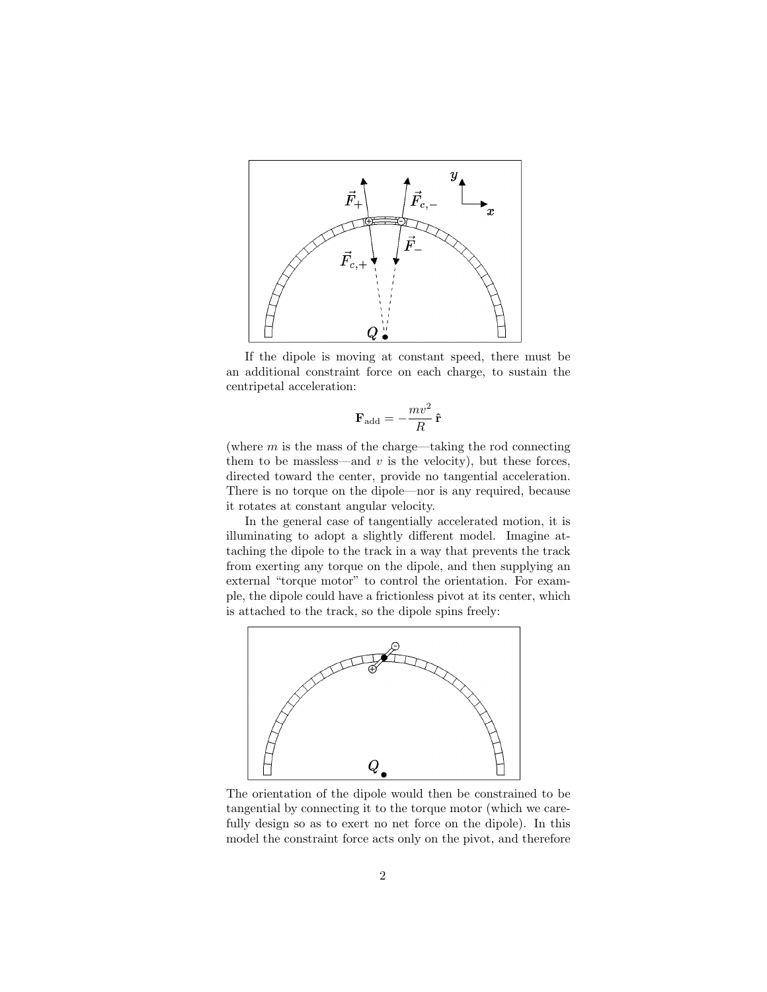

If the dipole is moving at constant speed, there must be an additional constraint force on each charge, to sustain the centripetal acceleration:

$$
\mathbf{F}_{\text{add}}=-\frac{mv^2}{R}\,\mathbf{\hat{r}}
$$

(where  $m$  is the mass of the charge—taking the rod connecting them to be massless—and  $v$  is the velocity), but these forces, directed toward the center, provide no tangential acceleration. There is no torque on the dipole—nor is any required, because it rotates at constant angular velocity.

In the general case of tangentially accelerated motion, it is illuminating to adopt a slightly different model. Imagine attaching the dipole to the track in a way that prevents the track from exerting any torque on the dipole, and then supplying an external "torque motor" to control the orientation. For example, the dipole could have a frictionless pivot at its center, which is attached to the track, so the dipole spins freely:



The orientation of the dipole would then be constrained to be tangential by connecting it to the torque motor (which we carefully design so as to exert no net force on the dipole). In this model the constraint force acts only on the pivot, and therefore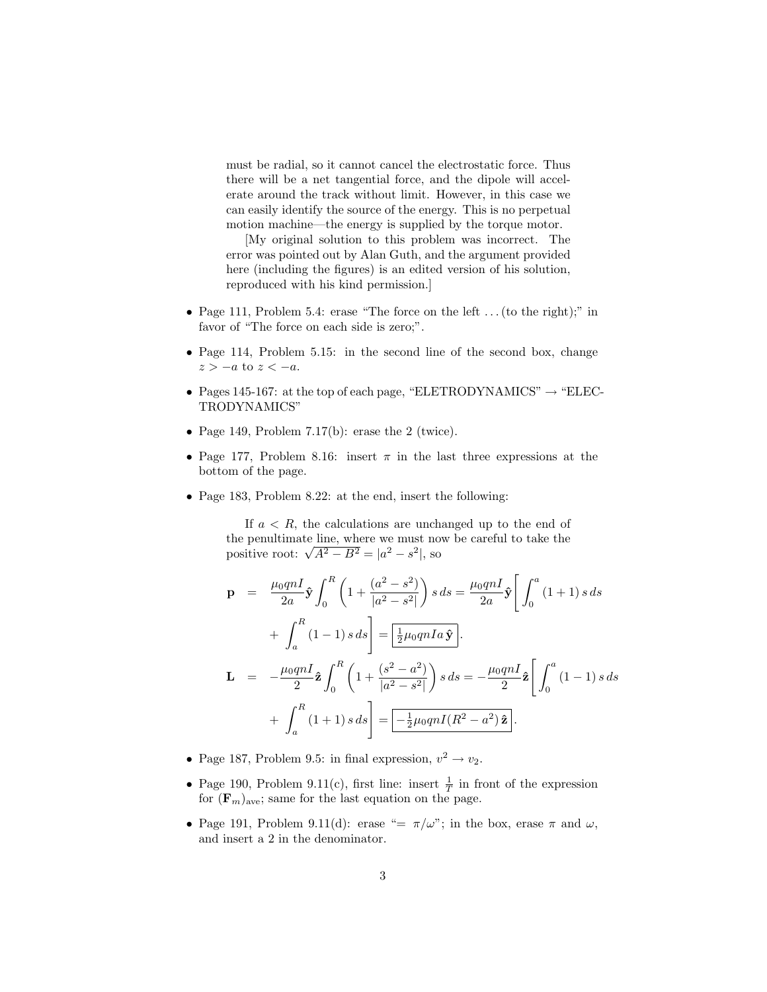must be radial, so it cannot cancel the electrostatic force. Thus there will be a net tangential force, and the dipole will accelerate around the track without limit. However, in this case we can easily identify the source of the energy. This is no perpetual motion machine—the energy is supplied by the torque motor.

[My original solution to this problem was incorrect. The error was pointed out by Alan Guth, and the argument provided here (including the figures) is an edited version of his solution, reproduced with his kind permission.]

- Page 111, Problem 5.4: erase "The force on the left  $\dots$  (to the right);" in favor of "The force on each side is zero;".
- Page 114, Problem 5.15: in the second line of the second box, change  $z > -a$  to  $z < -a$ .
- Pages 145-167: at the top of each page, "ELETRODYNAMICS"  $\rightarrow$  "ELEC-TRODYNAMICS"
- Page 149, Problem 7.17(b): erase the 2 (twice).
- Page 177, Problem 8.16: insert  $\pi$  in the last three expressions at the bottom of the page.
- Page 183, Problem 8.22: at the end, insert the following:

If  $a < R$ , the calculations are unchanged up to the end of the penultimate line, where we must now be careful to take the the penultimate line, where we must no<br>positive root:  $\sqrt{A^2 - B^2} = |a^2 - s^2|$ , so

$$
\mathbf{p} = \frac{\mu_0 q n I}{2a} \hat{\mathbf{y}} \int_0^R \left( 1 + \frac{(a^2 - s^2)}{|a^2 - s^2|} \right) s \, ds = \frac{\mu_0 q n I}{2a} \hat{\mathbf{y}} \left[ \int_0^a (1 + 1) \, s \, ds \right] \n+ \int_a^R (1 - 1) \, s \, ds = \frac{1}{2} \frac{1}{2} \mu_0 q n I a \hat{\mathbf{y}}.
$$
\n
$$
\mathbf{L} = -\frac{\mu_0 q n I}{2} \hat{\mathbf{z}} \int_0^R \left( 1 + \frac{(s^2 - a^2)}{|a^2 - s^2|} \right) s \, ds = -\frac{\mu_0 q n I}{2} \hat{\mathbf{z}} \left[ \int_0^a (1 - 1) \, s \, ds \right] \n+ \int_a^R (1 + 1) \, s \, ds = -\frac{1}{2} \frac{1}{2} \mu_0 q n I (R^2 - a^2) \hat{\mathbf{z}}.
$$

- Page 187, Problem 9.5: in final expression,  $v^2 \rightarrow v_2$ .
- Page 190, Problem 9.11(c), first line: insert  $\frac{1}{T}$  in front of the expression for  $(\mathbf{F}_m)_{\text{ave}}$ ; same for the last equation on the page.
- Page 191, Problem 9.11(d): erase "=  $\pi/\omega$ "; in the box, erase  $\pi$  and  $\omega$ , and insert a 2 in the denominator.